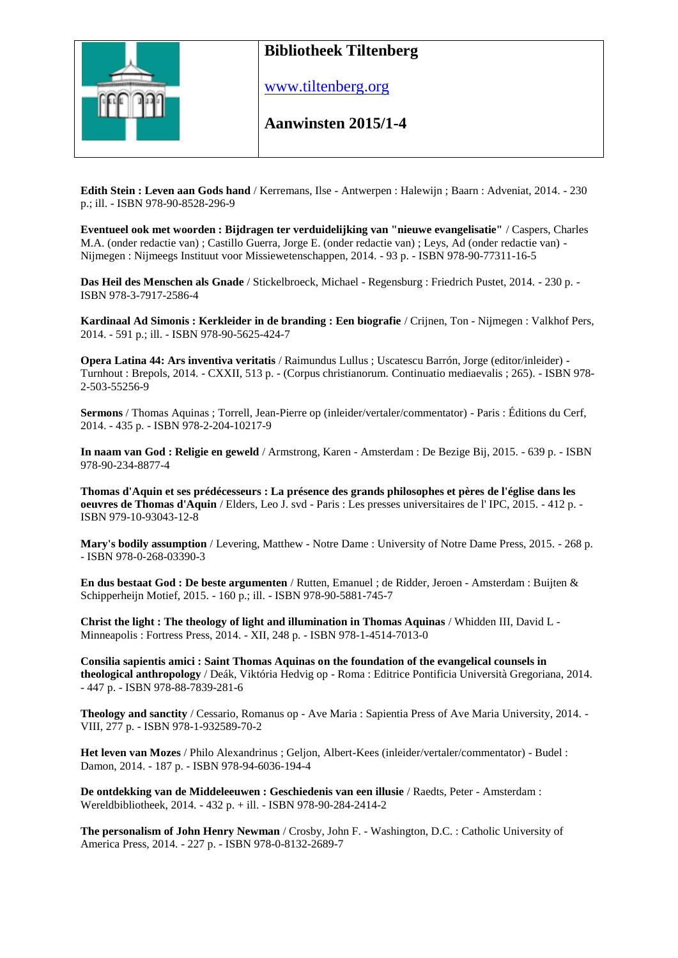

www.tiltenberg.org

**Aanwinsten 2015/1-4 Aanwinsten 2014**

**Edith Stein : Leven aan Gods hand** / Kerremans, Ilse - Antwerpen : Halewijn ; Baarn : Adveniat, 2014. - 230 p.; ill. - ISBN 978-90-8528-296-9

**Eventueel ook met woorden : Bijdragen ter verduidelijking van "nieuwe evangelisatie"** / Caspers, Charles M.A. (onder redactie van) ; Castillo Guerra, Jorge E. (onder redactie van) ; Leys, Ad (onder redactie van) - Nijmegen : Nijmeegs Instituut voor Missiewetenschappen, 2014. - 93 p. - ISBN 978-90-77311-16-5

**Das Heil des Menschen als Gnade** / Stickelbroeck, Michael - Regensburg : Friedrich Pustet, 2014. - 230 p. - ISBN 978-3-7917-2586-4

**Kardinaal Ad Simonis : Kerkleider in de branding : Een biografie** / Crijnen, Ton - Nijmegen : Valkhof Pers, 2014. - 591 p.; ill. - ISBN 978-90-5625-424-7

**Opera Latina 44: Ars inventiva veritatis** / Raimundus Lullus ; Uscatescu Barrón, Jorge (editor/inleider) - Turnhout : Brepols, 2014. - CXXII, 513 p. - (Corpus christianorum. Continuatio mediaevalis ; 265). - ISBN 978- 2-503-55256-9

**Sermons** / Thomas Aquinas ; Torrell, Jean-Pierre op (inleider/vertaler/commentator) - Paris : Éditions du Cerf, 2014. - 435 p. - ISBN 978-2-204-10217-9

**In naam van God : Religie en geweld** / Armstrong, Karen - Amsterdam : De Bezige Bij, 2015. - 639 p. - ISBN 978-90-234-8877-4

**Thomas d'Aquin et ses prédécesseurs : La présence des grands philosophes et pères de l'église dans les oeuvres de Thomas d'Aquin** / Elders, Leo J. svd - Paris : Les presses universitaires de l' IPC, 2015. - 412 p. - ISBN 979-10-93043-12-8

**Mary's bodily assumption** / Levering, Matthew - Notre Dame : University of Notre Dame Press, 2015. - 268 p. - ISBN 978-0-268-03390-3

**En dus bestaat God : De beste argumenten** / Rutten, Emanuel ; de Ridder, Jeroen - Amsterdam : Buijten & Schipperheijn Motief, 2015. - 160 p.; ill. - ISBN 978-90-5881-745-7

**Christ the light : The theology of light and illumination in Thomas Aquinas** / Whidden III, David L - Minneapolis : Fortress Press, 2014. - XII, 248 p. - ISBN 978-1-4514-7013-0

**Consilia sapientis amici : Saint Thomas Aquinas on the foundation of the evangelical counsels in theological anthropology** / Deák, Viktória Hedvig op - Roma : Editrice Pontificia Università Gregoriana, 2014. - 447 p. - ISBN 978-88-7839-281-6

**Theology and sanctity** / Cessario, Romanus op - Ave Maria : Sapientia Press of Ave Maria University, 2014. - VIII, 277 p. - ISBN 978-1-932589-70-2

**Het leven van Mozes** / Philo Alexandrinus ; Geljon, Albert-Kees (inleider/vertaler/commentator) - Budel : Damon, 2014. - 187 p. - ISBN 978-94-6036-194-4

**De ontdekking van de Middeleeuwen : Geschiedenis van een illusie** / Raedts, Peter - Amsterdam : Wereldbibliotheek, 2014. - 432 p. + ill. - ISBN 978-90-284-2414-2

**The personalism of John Henry Newman** / Crosby, John F. - Washington, D.C. : Catholic University of America Press, 2014. - 227 p. - ISBN 978-0-8132-2689-7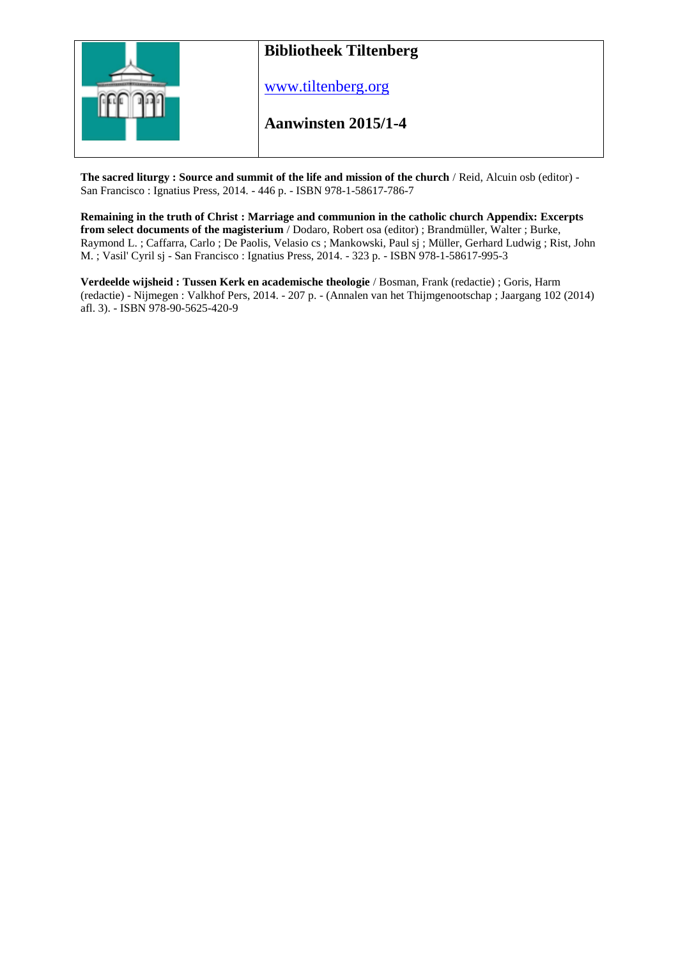

**The sacred liturgy : Source and summit of the life and mission of the church** / Reid, Alcuin osb (editor) - San Francisco : Ignatius Press, 2014. - 446 p. - ISBN 978-1-58617-786-7

**Remaining in the truth of Christ : Marriage and communion in the catholic church Appendix: Excerpts from select documents of the magisterium** / Dodaro, Robert osa (editor) ; Brandmüller, Walter ; Burke, Raymond L. ; Caffarra, Carlo ; De Paolis, Velasio cs ; Mankowski, Paul sj ; Müller, Gerhard Ludwig ; Rist, John M. ; Vasil' Cyril sj - San Francisco : Ignatius Press, 2014. - 323 p. - ISBN 978-1-58617-995-3

**Verdeelde wijsheid : Tussen Kerk en academische theologie** / Bosman, Frank (redactie) ; Goris, Harm (redactie) - Nijmegen : Valkhof Pers, 2014. - 207 p. - (Annalen van het Thijmgenootschap ; Jaargang 102 (2014) afl. 3). - ISBN 978-90-5625-420-9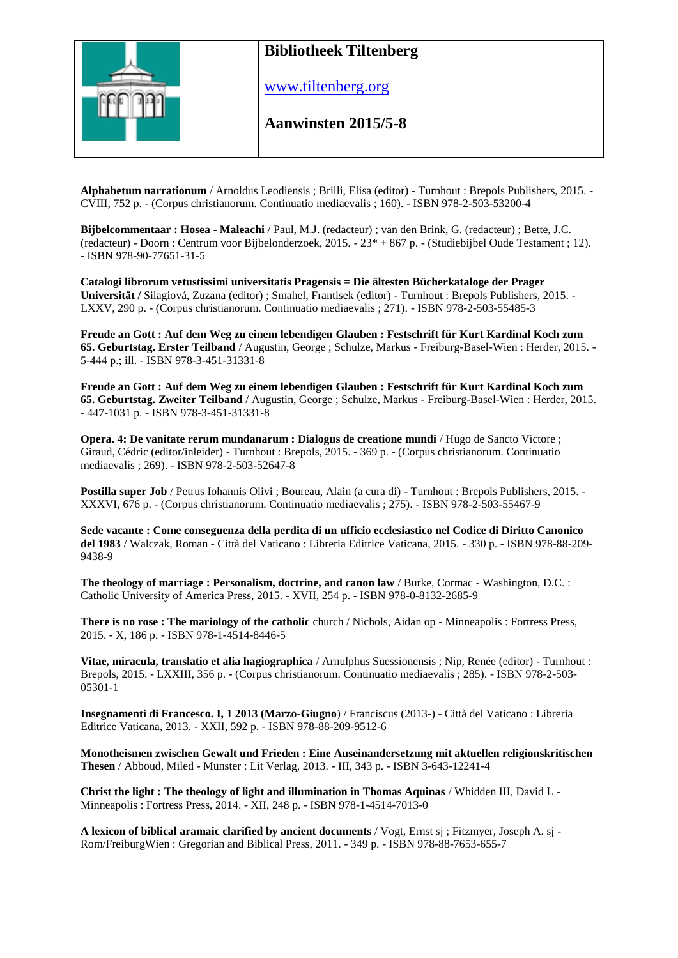

www.tiltenberg.org

**Aanwinsten 2015/5-8 Aanwinsten 2014**

**Alphabetum narrationum** / Arnoldus Leodiensis ; Brilli, Elisa (editor) - Turnhout : Brepols Publishers, 2015. - CVIII, 752 p. - (Corpus christianorum. Continuatio mediaevalis ; 160). - ISBN 978-2-503-53200-4

**Bijbelcommentaar : Hosea - Maleachi** / Paul, M.J. (redacteur) ; van den Brink, G. (redacteur) ; Bette, J.C. (redacteur) - Doorn : Centrum voor Bijbelonderzoek, 2015. - 23\* + 867 p. - (Studiebijbel Oude Testament ; 12). - ISBN 978-90-77651-31-5

**Catalogi librorum vetustissimi universitatis Pragensis = Die ältesten Bücherkataloge der Prager Universität /** Silagiová, Zuzana (editor) ; Smahel, Frantisek (editor) - Turnhout : Brepols Publishers, 2015. - LXXV, 290 p. - (Corpus christianorum. Continuatio mediaevalis ; 271). - ISBN 978-2-503-55485-3

**Freude an Gott : Auf dem Weg zu einem lebendigen Glauben : Festschrift für Kurt Kardinal Koch zum 65. Geburtstag. Erster Teilband** / Augustin, George ; Schulze, Markus - Freiburg-Basel-Wien : Herder, 2015. - 5-444 p.; ill. - ISBN 978-3-451-31331-8

**Freude an Gott : Auf dem Weg zu einem lebendigen Glauben : Festschrift für Kurt Kardinal Koch zum 65. Geburtstag. Zweiter Teilband** / Augustin, George ; Schulze, Markus - Freiburg-Basel-Wien : Herder, 2015. - 447-1031 p. - ISBN 978-3-451-31331-8

**Opera. 4: De vanitate rerum mundanarum : Dialogus de creatione mundi** / Hugo de Sancto Victore ; Giraud, Cédric (editor/inleider) - Turnhout : Brepols, 2015. - 369 p. - (Corpus christianorum. Continuatio mediaevalis ; 269). - ISBN 978-2-503-52647-8

**Postilla super Job** / Petrus Iohannis Olivi ; Boureau, Alain (a cura di) - Turnhout : Brepols Publishers, 2015. - XXXVI, 676 p. - (Corpus christianorum. Continuatio mediaevalis ; 275). - ISBN 978-2-503-55467-9

**Sede vacante : Come conseguenza della perdita di un ufficio ecclesiastico nel Codice di Diritto Canonico del 1983** / Walczak, Roman - Città del Vaticano : Libreria Editrice Vaticana, 2015. - 330 p. - ISBN 978-88-209- 9438-9

**The theology of marriage : Personalism, doctrine, and canon law** / Burke, Cormac - Washington, D.C. : Catholic University of America Press, 2015. - XVII, 254 p. - ISBN 978-0-8132-2685-9

**There is no rose : The mariology of the catholic** church / Nichols, Aidan op - Minneapolis : Fortress Press, 2015. - X, 186 p. - ISBN 978-1-4514-8446-5

**Vitae, miracula, translatio et alia hagiographica** / Arnulphus Suessionensis ; Nip, Renée (editor) - Turnhout : Brepols, 2015. - LXXIII, 356 p. - (Corpus christianorum. Continuatio mediaevalis ; 285). - ISBN 978-2-503- 05301-1

**Insegnamenti di Francesco. I, 1 2013 (Marzo-Giugno**) / Franciscus (2013-) - Città del Vaticano : Libreria Editrice Vaticana, 2013. - XXII, 592 p. - ISBN 978-88-209-9512-6

**Monotheismen zwischen Gewalt und Frieden : Eine Auseinandersetzung mit aktuellen religionskritischen Thesen** / Abboud, Miled - Münster : Lit Verlag, 2013. - III, 343 p. - ISBN 3-643-12241-4

**Christ the light : The theology of light and illumination in Thomas Aquinas** / Whidden III, David L - Minneapolis : Fortress Press, 2014. - XII, 248 p. - ISBN 978-1-4514-7013-0

**A lexicon of biblical aramaic clarified by ancient documents** / Vogt, Ernst sj ; Fitzmyer, Joseph A. sj - Rom/FreiburgWien : Gregorian and Biblical Press, 2011. - 349 p. - ISBN 978-88-7653-655-7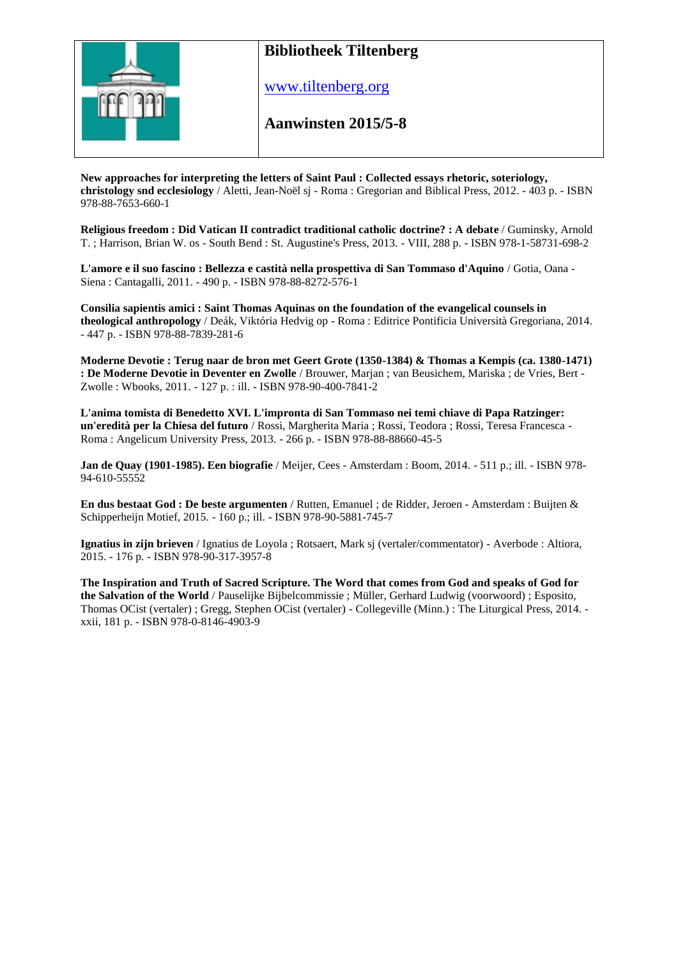

www.tiltenberg.org

#### **Aanwinsten 2015/5-8 Aanwinsten 2014**

**New approaches for interpreting the letters of Saint Paul : Collected essays rhetoric, soteriology, christology snd ecclesiology** / Aletti, Jean-Noël sj - Roma : Gregorian and Biblical Press, 2012. - 403 p. - ISBN 978-88-7653-660-1

**Religious freedom : Did Vatican II contradict traditional catholic doctrine? : A debate** / Guminsky, Arnold T. ; Harrison, Brian W. os - South Bend : St. Augustine's Press, 2013. - VIII, 288 p. - ISBN 978-1-58731-698-2

**L'amore e il suo fascino : Bellezza e castità nella prospettiva di San Tommaso d'Aquino** / Gotia, Oana - Siena : Cantagalli, 2011. - 490 p. - ISBN 978-88-8272-576-1

**Consilia sapientis amici : Saint Thomas Aquinas on the foundation of the evangelical counsels in theological anthropology** / Deák, Viktória Hedvig op - Roma : Editrice Pontificia Università Gregoriana, 2014. - 447 p. - ISBN 978-88-7839-281-6

**Moderne Devotie : Terug naar de bron met Geert Grote (1350-1384) & Thomas a Kempis (ca. 1380-1471) : De Moderne Devotie in Deventer en Zwolle** / Brouwer, Marjan ; van Beusichem, Mariska ; de Vries, Bert - Zwolle : Wbooks, 2011. - 127 p. : ill. - ISBN 978-90-400-7841-2

**L'anima tomista di Benedetto XVI. L'impronta di San Tommaso nei temi chiave di Papa Ratzinger: un'eredità per la Chiesa del futuro** / Rossi, Margherita Maria ; Rossi, Teodora ; Rossi, Teresa Francesca - Roma : Angelicum University Press, 2013. - 266 p. - ISBN 978-88-88660-45-5

**Jan de Quay (1901-1985). Een biografie** / Meijer, Cees - Amsterdam : Boom, 2014. - 511 p.; ill. - ISBN 978- 94-610-55552

**En dus bestaat God : De beste argumenten** / Rutten, Emanuel ; de Ridder, Jeroen - Amsterdam : Buijten & Schipperheijn Motief, 2015. - 160 p.; ill. - ISBN 978-90-5881-745-7

**Ignatius in zijn brieven** / Ignatius de Loyola ; Rotsaert, Mark sj (vertaler/commentator) - Averbode : Altiora, 2015. - 176 p. - ISBN 978-90-317-3957-8

**The Inspiration and Truth of Sacred Scripture. The Word that comes from God and speaks of God for the Salvation of the World** / Pauselijke Bijbelcommissie ; Müller, Gerhard Ludwig (voorwoord) ; Esposito, Thomas OCist (vertaler) ; Gregg, Stephen OCist (vertaler) - Collegeville (Minn.) : The Liturgical Press, 2014. xxii, 181 p. - ISBN 978-0-8146-4903-9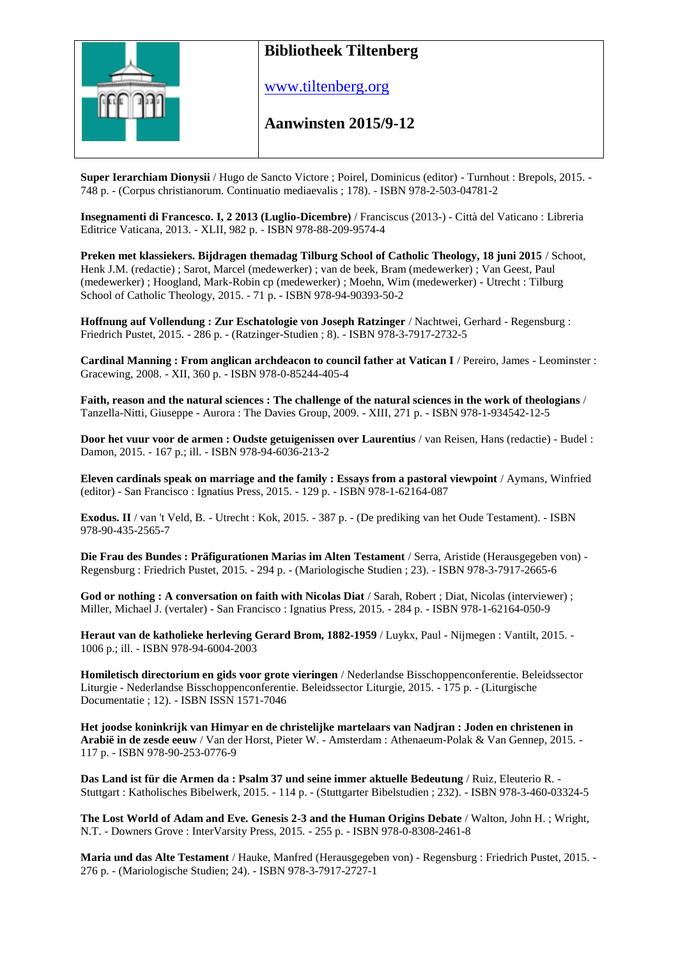

www.tiltenberg.org

### **Aanwinsten 2015/9-12 Aanwinsten 2014**

**Super Ierarchiam Dionysii** / Hugo de Sancto Victore ; Poirel, Dominicus (editor) - Turnhout : Brepols, 2015. - 748 p. - (Corpus christianorum. Continuatio mediaevalis ; 178). - ISBN 978-2-503-04781-2

**Insegnamenti di Francesco. I, 2 2013 (Luglio-Dicembre)** / Franciscus (2013-) - Città del Vaticano : Libreria Editrice Vaticana, 2013. - XLII, 982 p. - ISBN 978-88-209-9574-4

**Preken met klassiekers. Bijdragen themadag Tilburg School of Catholic Theology, 18 juni 2015** / Schoot, Henk J.M. (redactie) ; Sarot, Marcel (medewerker) ; van de beek, Bram (medewerker) ; Van Geest, Paul (medewerker) ; Hoogland, Mark-Robin cp (medewerker) ; Moehn, Wim (medewerker) - Utrecht : Tilburg School of Catholic Theology, 2015. - 71 p. - ISBN 978-94-90393-50-2

**Hoffnung auf Vollendung : Zur Eschatologie von Joseph Ratzinger** / Nachtwei, Gerhard - Regensburg : Friedrich Pustet, 2015. - 286 p. - (Ratzinger-Studien ; 8). - ISBN 978-3-7917-2732-5

**Cardinal Manning : From anglican archdeacon to council father at Vatican I** / Pereiro, James - Leominster : Gracewing, 2008. - XII, 360 p. - ISBN 978-0-85244-405-4

**Faith, reason and the natural sciences : The challenge of the natural sciences in the work of theologians** / Tanzella-Nitti, Giuseppe - Aurora : The Davies Group, 2009. - XIII, 271 p. - ISBN 978-1-934542-12-5

**Door het vuur voor de armen : Oudste getuigenissen over Laurentius** / van Reisen, Hans (redactie) - Budel : Damon, 2015. - 167 p.; ill. - ISBN 978-94-6036-213-2

**Eleven cardinals speak on marriage and the family : Essays from a pastoral viewpoint** / Aymans, Winfried (editor) - San Francisco : Ignatius Press, 2015. - 129 p. - ISBN 978-1-62164-087

**Exodus. II** / van 't Veld, B. - Utrecht : Kok, 2015. - 387 p. - (De prediking van het Oude Testament). - ISBN 978-90-435-2565-7

**Die Frau des Bundes : Präfigurationen Marias im Alten Testament** / Serra, Aristide (Herausgegeben von) - Regensburg : Friedrich Pustet, 2015. - 294 p. - (Mariologische Studien ; 23). - ISBN 978-3-7917-2665-6

**God or nothing : A conversation on faith with Nicolas Diat** / Sarah, Robert ; Diat, Nicolas (interviewer) ; Miller, Michael J. (vertaler) - San Francisco : Ignatius Press, 2015. - 284 p. - ISBN 978-1-62164-050-9

**Heraut van de katholieke herleving Gerard Brom, 1882-1959** / Luykx, Paul - Nijmegen : Vantilt, 2015. - 1006 p.; ill. - ISBN 978-94-6004-2003

**Homiletisch directorium en gids voor grote vieringen** / Nederlandse Bisschoppenconferentie. Beleidssector Liturgie - Nederlandse Bisschoppenconferentie. Beleidssector Liturgie, 2015. - 175 p. - (Liturgische Documentatie ; 12). - ISBN ISSN 1571-7046

**Het joodse koninkrijk van Himyar en de christelijke martelaars van Nadjran : Joden en christenen in Arabië in de zesde eeuw** / Van der Horst, Pieter W. - Amsterdam : Athenaeum-Polak & Van Gennep, 2015. - 117 p. - ISBN 978-90-253-0776-9

**Das Land ist für die Armen da : Psalm 37 und seine immer aktuelle Bedeutung** / Ruiz, Eleuterio R. - Stuttgart : Katholisches Bibelwerk, 2015. - 114 p. - (Stuttgarter Bibelstudien ; 232). - ISBN 978-3-460-03324-5

**The Lost World of Adam and Eve. Genesis 2-3 and the Human Origins Debate** / Walton, John H. ; Wright, N.T. - Downers Grove : InterVarsity Press, 2015. - 255 p. - ISBN 978-0-8308-2461-8

**Maria und das Alte Testament** / Hauke, Manfred (Herausgegeben von) - Regensburg : Friedrich Pustet, 2015. - 276 p. - (Mariologische Studien; 24). - ISBN 978-3-7917-2727-1